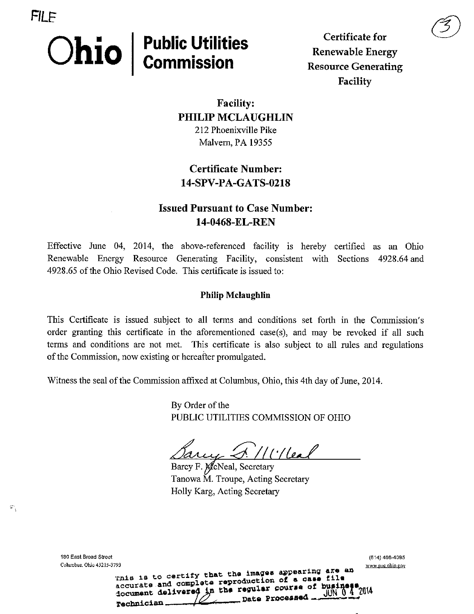# $\textbf{Chio} \mid \textsf{Public Itilities}$

FILF

Certificate for Renewable Energy Resource Generating Facility

 $\circledS$ 

Facility: PHILIP MCLAUGHLIN 212 Phoenixville Pike Malvern, PA 19355

# Certificate Number: 14-SPV-PA-GATS-0218

# Issued Pursuant to Case Number: 14-0468-EL-REN

Effective June 04, 2014, the above-referenced facility is hereby certified as an Ohio Renewable Energy Resource Generating Facility, consistent with Sections 4928.64 and 4928.65 of the Ohio Revised Code. This certificate is issued to:

#### Philip Mclaughlin

This Certificate is issued subject to all terms and conditions set forth in the Commission's order granting this certificate in the aforementioned case(s), and may be revoked if all such terms and conditions are not met. This certificate is also subject to all rules and regulations of the Commission, now existing or hereafter promulgated.

Witness the seal of the Commission affixed at Columbus, Ohio, this 4th day of June, 2014.

By Order of the PUBLIC UTILITIES COMMISSION OF OHIO

 $\alpha$ uy S. //l'/leal

 $\rule{1em}{0.15mm}$  Date Processed \_

Barcy F. McNeal, Secretary Tanowa M. Troupe, Acting Secretary Holly Karg, Acting Secretary

accurate and complete reproduction of a case file<br>document delivered in the regular course of busing

⇙

180 East Broad Street (B14) 466-4095 Columbus. Ohio 43215-3793 <br>This is to certify that the images appearing are an *www.puc.ohio.gov* 

Technician.

 $\mathfrak{s}^{\ast}_{\mathcal{A}}$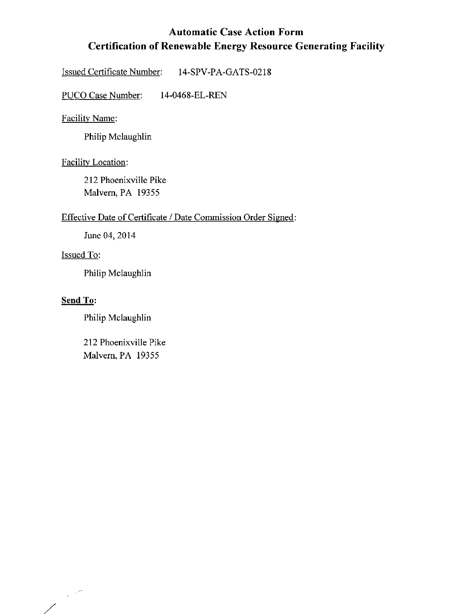# Automatic Case Action Form Certification of Renewable Energy Resource Generating Facility

Issued Certificate Number: 14-SPV-PA-GATS-0218

PUCO Case Number: 14-0468-EL-REN

## Facility Name:

Philip Mclaughlin

#### Facilitv Location:

212 Phoenixville Pike Malvern, PA 19355

#### Effective Date of Certificate / Date Commission Order Signed:

June 04, 2014

#### Issued To:

Philip Mclaughlin

# Send To:

Philip Mclaughlin

212 Phoenixville Pike Malvern, PA 19355

Γ